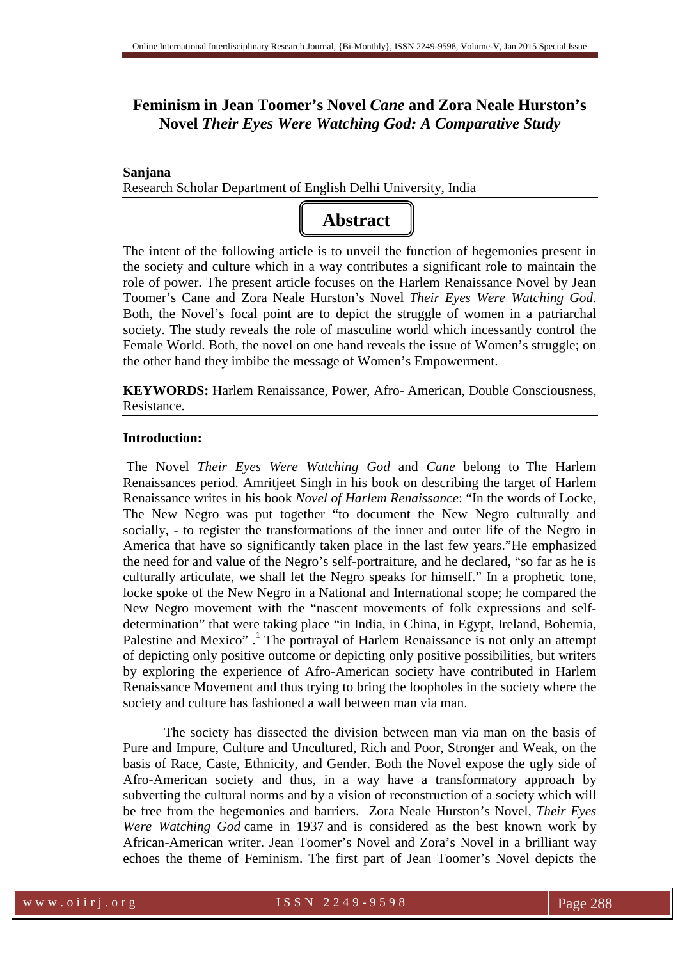## **Feminism in Jean Toomer's Novel** *Cane* **and Zora Neale Hurston's Novel** *Their Eyes Were Watching God: A Comparative Study*

**Sanjana** 

Research Scholar Department of English Delhi University, India



The intent of the following article is to unveil the function of hegemonies present in the society and culture which in a way contributes a significant role to maintain the role of power. The present article focuses on the Harlem Renaissance Novel by Jean Toomer's Cane and Zora Neale Hurston's Novel *Their Eyes Were Watching God.*  Both, the Novel's focal point are to depict the struggle of women in a patriarchal society. The study reveals the role of masculine world which incessantly control the Female World. Both, the novel on one hand reveals the issue of Women's struggle; on the other hand they imbibe the message of Women's Empowerment.

**KEYWORDS:** Harlem Renaissance, Power, Afro- American, Double Consciousness, Resistance.

## **Introduction:**

 The Novel *Their Eyes Were Watching God* and *Cane* belong to The Harlem Renaissances period. Amritjeet Singh in his book on describing the target of Harlem Renaissance writes in his book *Novel of Harlem Renaissance*: "In the words of Locke, The New Negro was put together "to document the New Negro culturally and socially, - to register the transformations of the inner and outer life of the Negro in America that have so significantly taken place in the last few years."He emphasized the need for and value of the Negro's self-portraiture, and he declared, "so far as he is culturally articulate, we shall let the Negro speaks for himself." In a prophetic tone, locke spoke of the New Negro in a National and International scope; he compared the New Negro movement with the "nascent movements of folk expressions and selfdetermination" that were taking place "in India, in China, in Egypt, Ireland, Bohemia, Palestine and Mexico".<sup>1</sup> The portrayal of Harlem Renaissance is not only an attempt of depicting only positive outcome or depicting only positive possibilities, but writers by exploring the experience of Afro-American society have contributed in Harlem Renaissance Movement and thus trying to bring the loopholes in the society where the society and culture has fashioned a wall between man via man.

The society has dissected the division between man via man on the basis of Pure and Impure, Culture and Uncultured, Rich and Poor, Stronger and Weak, on the basis of Race, Caste, Ethnicity, and Gender. Both the Novel expose the ugly side of Afro-American society and thus, in a way have a transformatory approach by subverting the cultural norms and by a vision of reconstruction of a society which will be free from the hegemonies and barriers. Zora Neale Hurston's Novel, *Their Eyes Were Watching God* came in 1937 and is considered as the best known work by African-American writer. Jean Toomer's Novel and Zora's Novel in a brilliant way echoes the theme of Feminism. The first part of Jean Toomer's Novel depicts the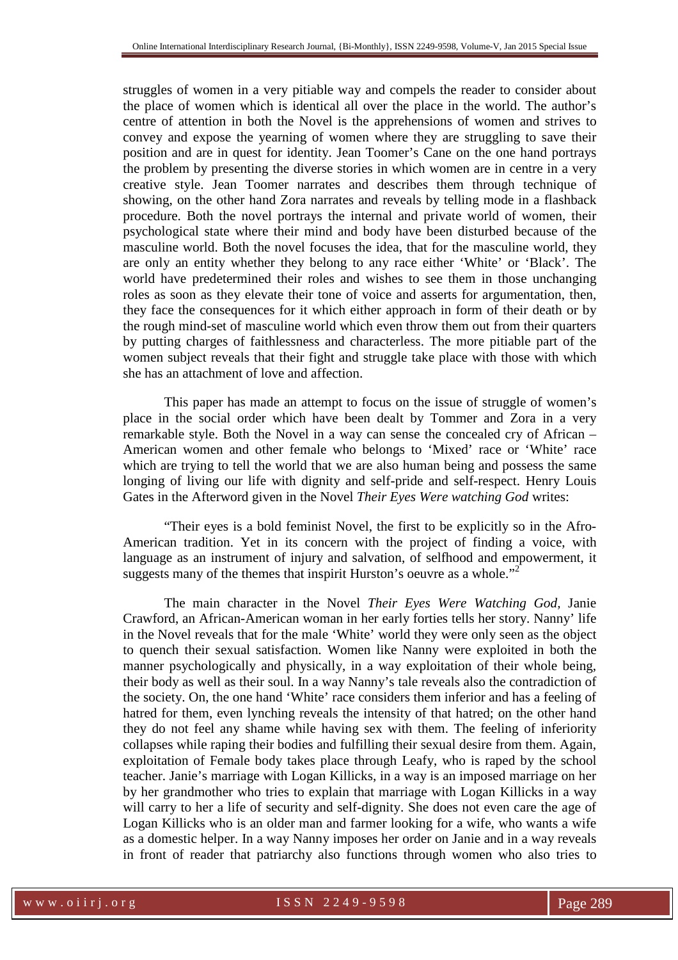struggles of women in a very pitiable way and compels the reader to consider about the place of women which is identical all over the place in the world. The author's centre of attention in both the Novel is the apprehensions of women and strives to convey and expose the yearning of women where they are struggling to save their position and are in quest for identity. Jean Toomer's Cane on the one hand portrays the problem by presenting the diverse stories in which women are in centre in a very creative style. Jean Toomer narrates and describes them through technique of showing, on the other hand Zora narrates and reveals by telling mode in a flashback procedure. Both the novel portrays the internal and private world of women, their psychological state where their mind and body have been disturbed because of the masculine world. Both the novel focuses the idea, that for the masculine world, they are only an entity whether they belong to any race either 'White' or 'Black'. The world have predetermined their roles and wishes to see them in those unchanging roles as soon as they elevate their tone of voice and asserts for argumentation, then, they face the consequences for it which either approach in form of their death or by the rough mind-set of masculine world which even throw them out from their quarters by putting charges of faithlessness and characterless. The more pitiable part of the women subject reveals that their fight and struggle take place with those with which she has an attachment of love and affection.

This paper has made an attempt to focus on the issue of struggle of women's place in the social order which have been dealt by Tommer and Zora in a very remarkable style. Both the Novel in a way can sense the concealed cry of African – American women and other female who belongs to 'Mixed' race or 'White' race which are trying to tell the world that we are also human being and possess the same longing of living our life with dignity and self-pride and self-respect. Henry Louis Gates in the Afterword given in the Novel *Their Eyes Were watching God* writes:

"Their eyes is a bold feminist Novel, the first to be explicitly so in the Afro-American tradition. Yet in its concern with the project of finding a voice, with language as an instrument of injury and salvation, of selfhood and empowerment, it suggests many of the themes that inspirit Hurston's oeuvre as a whole."<sup>2</sup>

The main character in the Novel *Their Eyes Were Watching God,* Janie Crawford, an African-American woman in her early forties tells her story. Nanny' life in the Novel reveals that for the male 'White' world they were only seen as the object to quench their sexual satisfaction. Women like Nanny were exploited in both the manner psychologically and physically, in a way exploitation of their whole being, their body as well as their soul. In a way Nanny's tale reveals also the contradiction of the society. On, the one hand 'White' race considers them inferior and has a feeling of hatred for them, even lynching reveals the intensity of that hatred; on the other hand they do not feel any shame while having sex with them. The feeling of inferiority collapses while raping their bodies and fulfilling their sexual desire from them. Again, exploitation of Female body takes place through Leafy, who is raped by the school teacher. Janie's marriage with Logan Killicks, in a way is an imposed marriage on her by her grandmother who tries to explain that marriage with Logan Killicks in a way will carry to her a life of security and self-dignity. She does not even care the age of Logan Killicks who is an older man and farmer looking for a wife, who wants a wife as a domestic helper. In a way Nanny imposes her order on Janie and in a way reveals in front of reader that patriarchy also functions through women who also tries to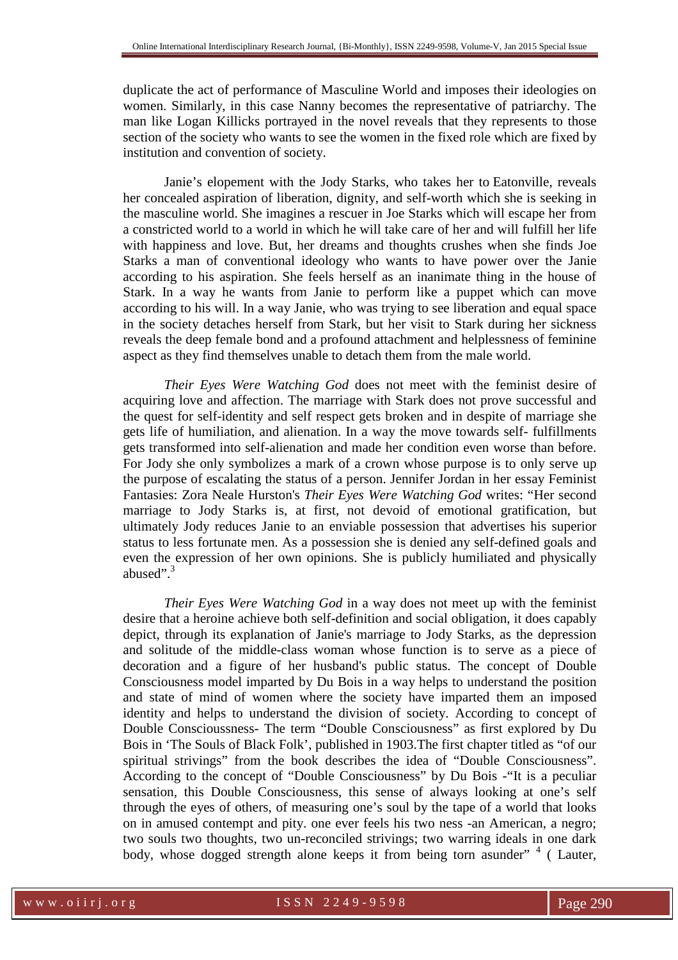duplicate the act of performance of Masculine World and imposes their ideologies on women. Similarly, in this case Nanny becomes the representative of patriarchy. The man like Logan Killicks portrayed in the novel reveals that they represents to those section of the society who wants to see the women in the fixed role which are fixed by institution and convention of society.

Janie's elopement with the Jody Starks, who takes her to Eatonville, reveals her concealed aspiration of liberation, dignity, and self-worth which she is seeking in the masculine world. She imagines a rescuer in Joe Starks which will escape her from a constricted world to a world in which he will take care of her and will fulfill her life with happiness and love. But, her dreams and thoughts crushes when she finds Joe Starks a man of conventional ideology who wants to have power over the Janie according to his aspiration. She feels herself as an inanimate thing in the house of Stark. In a way he wants from Janie to perform like a puppet which can move according to his will. In a way Janie, who was trying to see liberation and equal space in the society detaches herself from Stark, but her visit to Stark during her sickness reveals the deep female bond and a profound attachment and helplessness of feminine aspect as they find themselves unable to detach them from the male world.

*Their Eyes Were Watching God* does not meet with the feminist desire of acquiring love and affection. The marriage with Stark does not prove successful and the quest for self-identity and self respect gets broken and in despite of marriage she gets life of humiliation, and alienation. In a way the move towards self- fulfillments gets transformed into self-alienation and made her condition even worse than before. For Jody she only symbolizes a mark of a crown whose purpose is to only serve up the purpose of escalating the status of a person. Jennifer Jordan in her essay Feminist Fantasies: Zora Neale Hurston's *Their Eyes Were Watching God* writes: "Her second marriage to Jody Starks is, at first, not devoid of emotional gratification, but ultimately Jody reduces Janie to an enviable possession that advertises his superior status to less fortunate men. As a possession she is denied any self-defined goals and even the expression of her own opinions. She is publicly humiliated and physically abused". $3$ 

*Their Eyes Were Watching God* in a way does not meet up with the feminist desire that a heroine achieve both self-definition and social obligation, it does capably depict, through its explanation of Janie's marriage to Jody Starks, as the depression and solitude of the middle-class woman whose function is to serve as a piece of decoration and a figure of her husband's public status. The concept of Double Consciousness model imparted by Du Bois in a way helps to understand the position and state of mind of women where the society have imparted them an imposed identity and helps to understand the division of society. According to concept of Double Conscioussness- The term "Double Consciousness" as first explored by Du Bois in 'The Souls of Black Folk', published in 1903.The first chapter titled as "of our spiritual strivings" from the book describes the idea of "Double Consciousness". According to the concept of "Double Consciousness" by Du Bois -"It is a peculiar sensation, this Double Consciousness, this sense of always looking at one's self through the eyes of others, of measuring one's soul by the tape of a world that looks on in amused contempt and pity. one ever feels his two ness -an American, a negro; two souls two thoughts, two un-reconciled strivings; two warring ideals in one dark body, whose dogged strength alone keeps it from being torn asunder" <sup>4</sup> (Lauter,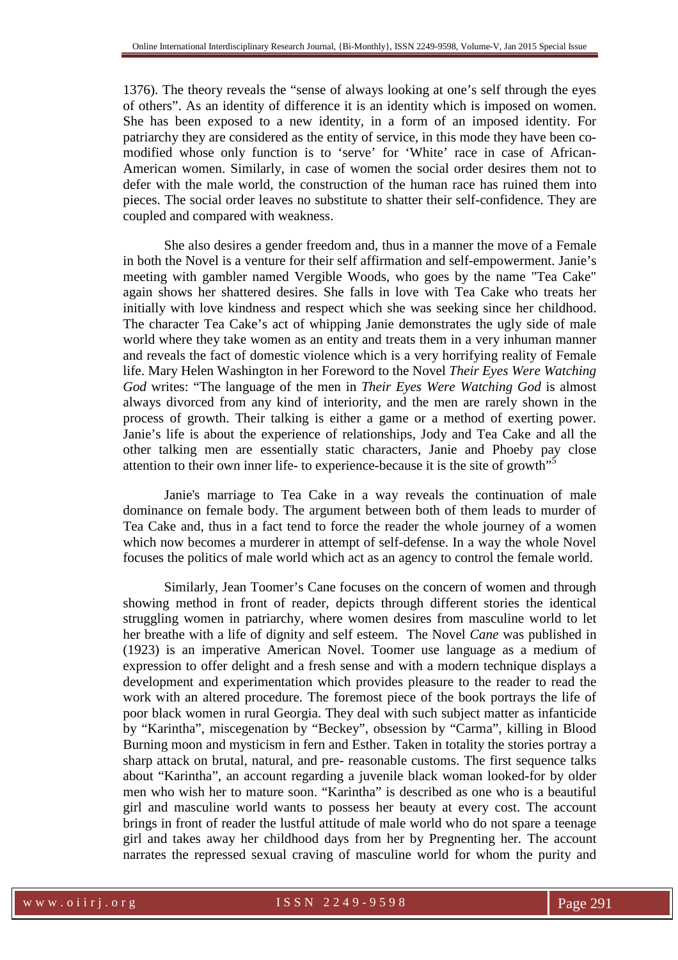1376). The theory reveals the "sense of always looking at one's self through the eyes of others". As an identity of difference it is an identity which is imposed on women. She has been exposed to a new identity, in a form of an imposed identity. For patriarchy they are considered as the entity of service, in this mode they have been comodified whose only function is to 'serve' for 'White' race in case of African-American women. Similarly, in case of women the social order desires them not to defer with the male world, the construction of the human race has ruined them into pieces. The social order leaves no substitute to shatter their self-confidence. They are coupled and compared with weakness.

She also desires a gender freedom and, thus in a manner the move of a Female in both the Novel is a venture for their self affirmation and self-empowerment. Janie's meeting with gambler named Vergible Woods, who goes by the name "Tea Cake" again shows her shattered desires. She falls in love with Tea Cake who treats her initially with love kindness and respect which she was seeking since her childhood. The character Tea Cake's act of whipping Janie demonstrates the ugly side of male world where they take women as an entity and treats them in a very inhuman manner and reveals the fact of domestic violence which is a very horrifying reality of Female life. Mary Helen Washington in her Foreword to the Novel *Their Eyes Were Watching God* writes: "The language of the men in *Their Eyes Were Watching God* is almost always divorced from any kind of interiority, and the men are rarely shown in the process of growth. Their talking is either a game or a method of exerting power. Janie's life is about the experience of relationships, Jody and Tea Cake and all the other talking men are essentially static characters, Janie and Phoeby pay close attention to their own inner life- to experience-because it is the site of growth"<sup>5</sup>

Janie's marriage to Tea Cake in a way reveals the continuation of male dominance on female body. The argument between both of them leads to murder of Tea Cake and, thus in a fact tend to force the reader the whole journey of a women which now becomes a murderer in attempt of self-defense. In a way the whole Novel focuses the politics of male world which act as an agency to control the female world.

Similarly, Jean Toomer's Cane focuses on the concern of women and through showing method in front of reader, depicts through different stories the identical struggling women in patriarchy, where women desires from masculine world to let her breathe with a life of dignity and self esteem. The Novel *Cane* was published in (1923) is an imperative American Novel. Toomer use language as a medium of expression to offer delight and a fresh sense and with a modern technique displays a development and experimentation which provides pleasure to the reader to read the work with an altered procedure. The foremost piece of the book portrays the life of poor black women in rural Georgia. They deal with such subject matter as infanticide by "Karintha", miscegenation by "Beckey", obsession by "Carma", killing in Blood Burning moon and mysticism in fern and Esther. Taken in totality the stories portray a sharp attack on brutal, natural, and pre- reasonable customs. The first sequence talks about "Karintha", an account regarding a juvenile black woman looked-for by older men who wish her to mature soon. "Karintha" is described as one who is a beautiful girl and masculine world wants to possess her beauty at every cost. The account brings in front of reader the lustful attitude of male world who do not spare a teenage girl and takes away her childhood days from her by Pregnenting her. The account narrates the repressed sexual craving of masculine world for whom the purity and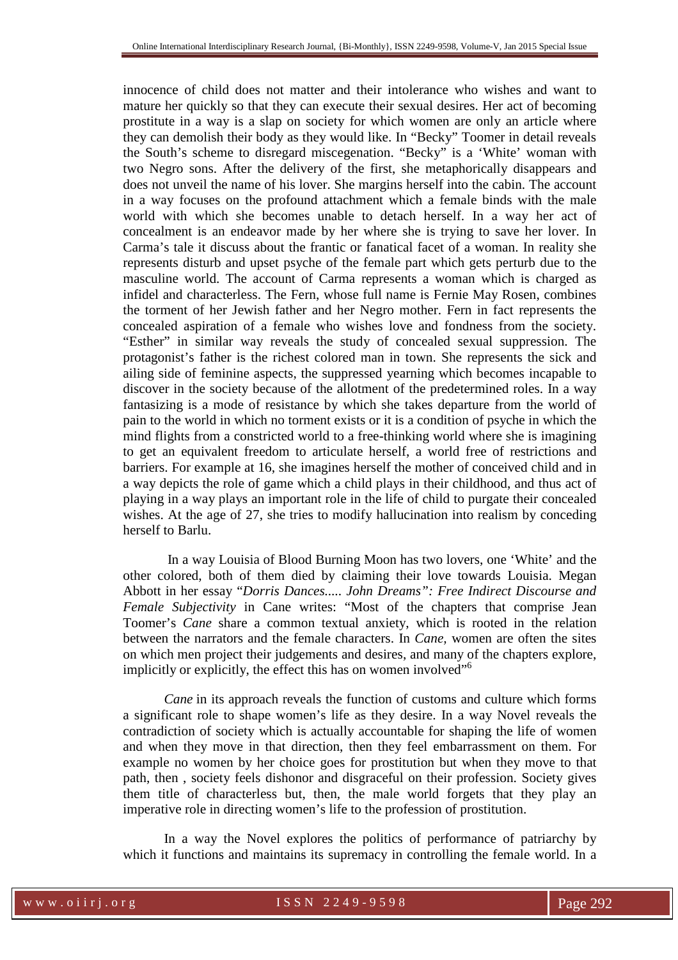innocence of child does not matter and their intolerance who wishes and want to mature her quickly so that they can execute their sexual desires. Her act of becoming prostitute in a way is a slap on society for which women are only an article where they can demolish their body as they would like. In "Becky" Toomer in detail reveals the South's scheme to disregard miscegenation. "Becky" is a 'White' woman with two Negro sons. After the delivery of the first, she metaphorically disappears and does not unveil the name of his lover. She margins herself into the cabin. The account in a way focuses on the profound attachment which a female binds with the male world with which she becomes unable to detach herself. In a way her act of concealment is an endeavor made by her where she is trying to save her lover. In Carma's tale it discuss about the frantic or fanatical facet of a woman. In reality she represents disturb and upset psyche of the female part which gets perturb due to the masculine world. The account of Carma represents a woman which is charged as infidel and characterless. The Fern, whose full name is Fernie May Rosen, combines the torment of her Jewish father and her Negro mother. Fern in fact represents the concealed aspiration of a female who wishes love and fondness from the society. "Esther" in similar way reveals the study of concealed sexual suppression. The protagonist's father is the richest colored man in town. She represents the sick and ailing side of feminine aspects, the suppressed yearning which becomes incapable to discover in the society because of the allotment of the predetermined roles. In a way fantasizing is a mode of resistance by which she takes departure from the world of pain to the world in which no torment exists or it is a condition of psyche in which the mind flights from a constricted world to a free-thinking world where she is imagining to get an equivalent freedom to articulate herself, a world free of restrictions and barriers. For example at 16, she imagines herself the mother of conceived child and in a way depicts the role of game which a child plays in their childhood, and thus act of playing in a way plays an important role in the life of child to purgate their concealed wishes. At the age of 27, she tries to modify hallucination into realism by conceding herself to Barlu.

 In a way Louisia of Blood Burning Moon has two lovers, one 'White' and the other colored, both of them died by claiming their love towards Louisia. Megan Abbott in her essay "*Dorris Dances..... John Dreams": Free Indirect Discourse and Female Subjectivity* in Cane writes: "Most of the chapters that comprise Jean Toomer's *Cane* share a common textual anxiety, which is rooted in the relation between the narrators and the female characters. In *Cane,* women are often the sites on which men project their judgements and desires, and many of the chapters explore, implicitly or explicitly, the effect this has on women involved<sup>"6</sup>

*Cane* in its approach reveals the function of customs and culture which forms a significant role to shape women's life as they desire. In a way Novel reveals the contradiction of society which is actually accountable for shaping the life of women and when they move in that direction, then they feel embarrassment on them. For example no women by her choice goes for prostitution but when they move to that path, then , society feels dishonor and disgraceful on their profession. Society gives them title of characterless but, then, the male world forgets that they play an imperative role in directing women's life to the profession of prostitution.

In a way the Novel explores the politics of performance of patriarchy by which it functions and maintains its supremacy in controlling the female world. In a